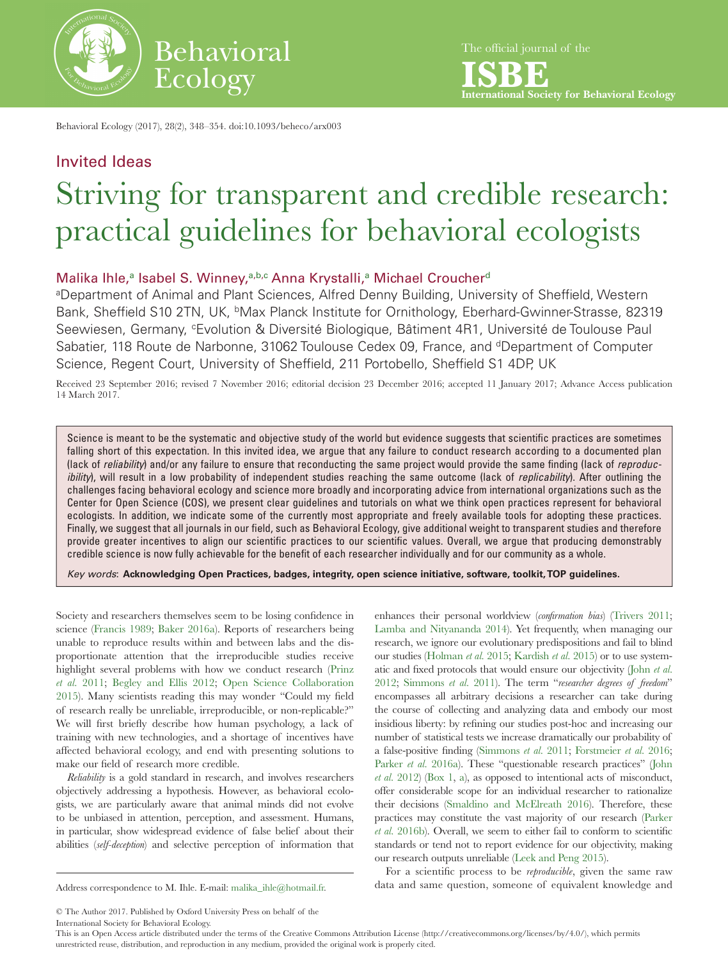

Behavioral Ecology (2017), 28(2), 348–354. doi:10.1093/beheco/arx003

# Invited Ideas Striving for transparent and credible research: practical guidelines for behavioral ecologists

## Malik[a](#page-0-0) Ihle,<sup>a</sup> Isabel S. Winney, [a,](#page-0-0)[b](#page-0-1)[,c](#page-0-2) Anna Krystalli,<sup>a</sup> Michael Croucher<sup>[d](#page-0-3)</sup>

<span id="page-0-2"></span><span id="page-0-1"></span><span id="page-0-0"></span>aDepartment of Animal and Plant Sciences, Alfred Denny Building, University of Sheffield, Western Bank, Sheffield S10 2TN, UK, <sup>b</sup>Max Planck Institute for Ornithology, Eberhard-Gwinner-Strasse, 82319 Seewiesen, Germany, <sup>c</sup>Evolution & Diversité Biologique, Bâtiment 4R1, Université de Toulouse Paul Sabatier, 118 Route de Narbonne, 31062 Toulouse Cedex 09, France, and <sup>d</sup>Department of Computer Science, Regent Court, University of Sheffield, 211 Portobello, Sheffield S1 4DP, UK

<span id="page-0-3"></span>Received 23 September 2016; revised 7 November 2016; editorial decision 23 December 2016; accepted 11 January 2017; Advance Access publication 14 March 2017.

Science is meant to be the systematic and objective study of the world but evidence suggests that scientific practices are sometimes falling short of this expectation. In this invited idea, we argue that any failure to conduct research according to a documented plan (lack of *reliability*) and/or any failure to ensure that reconducting the same project would provide the same finding (lack of *reproducibility*), will result in a low probability of independent studies reaching the same outcome (lack of *replicability*). After outlining the challenges facing behavioral ecology and science more broadly and incorporating advice from international organizations such as the Center for Open Science (COS), we present clear guidelines and tutorials on what we think open practices represent for behavioral ecologists. In addition, we indicate some of the currently most appropriate and freely available tools for adopting these practices. Finally, we suggest that all journals in our field, such as Behavioral Ecology, give additional weight to transparent studies and therefore provide greater incentives to align our scientific practices to our scientific values. Overall, we argue that producing demonstrably credible science is now fully achievable for the benefit of each researcher individually and for our community as a whole.

*Key words*: **Acknowledging Open Practices, badges, integrity, open science initiative, software, toolkit, TOP guidelines.**

Society and researchers themselves seem to be losing confidence in science ([Francis 1989;](#page-5-0) [Baker 2016a](#page-5-1)). Reports of researchers being unable to reproduce results within and between labs and the disproportionate attention that the irreproducible studies receive highlight several problems with how we conduct research ([Prinz](#page-6-0)  *et al.* [2011](#page-6-0); [Begley and Ellis 2012](#page-5-2); [Open Science Collaboration](#page-6-1)  [2015\)](#page-6-1). Many scientists reading this may wonder "Could my field of research really be unreliable, irreproducible, or non-replicable?" We will first briefly describe how human psychology, a lack of training with new technologies, and a shortage of incentives have affected behavioral ecology, and end with presenting solutions to make our field of research more credible.

*Reliability* is a gold standard in research, and involves researchers objectively addressing a hypothesis. However, as behavioral ecologists, we are particularly aware that animal minds did not evolve to be unbiased in attention, perception, and assessment. Humans, in particular, show widespread evidence of false belief about their abilities (*self-deception*) and selective perception of information that

enhances their personal worldview (*confirmation bias*) [\(Trivers 2011;](#page-6-2) [Lamba and Nityananda 2014\)](#page-5-3). Yet frequently, when managing our research, we ignore our evolutionary predispositions and fail to blind our studies [\(Holman](#page-5-4) *et al.* 2015; [Kardish](#page-5-5) *et al.* 2015) or to use systematic and fixed protocols that would ensure our objectivity [\(John](#page-5-6) *et al.* [2012](#page-5-6); [Simmons](#page-6-3) *et al.* 2011). The term "*researcher degrees of freedom*" encompasses all arbitrary decisions a researcher can take during the course of collecting and analyzing data and embody our most insidious liberty: by refining our studies post-hoc and increasing our number of statistical tests we increase dramatically our probability of a false-positive finding ([Simmons](#page-6-3) *et al.* 2011; [Forstmeier](#page-5-7) *et al.* 2016; Parker *et al.* [2016a\)](#page-6-4). These "questionable research practices" (John *et al.* [2012\)](#page-5-6) ([Box 1,](#page-1-0) [a\)](#page-1-0), as opposed to intentional acts of misconduct, offer considerable scope for an individual researcher to rationalize their decisions [\(Smaldino and McElreath 2016\)](#page-6-5). Therefore, these practices may constitute the vast majority of our research ([Parker](#page-5-7)  *et al.* [2016b](#page-5-7)). Overall, we seem to either fail to conform to scientific standards or tend not to report evidence for our objectivity, making our research outputs unreliable [\(Leek and Peng 2015\)](#page-5-8).

The official journal of the

**ISBE International Society for Behavioral Ecology**

For a scientific process to be *reproducible*, given the same raw Address correspondence to M. Ihle. E-mail: [malika\\_ihle@hotmail.fr](mailto:malika_ihle@hotmail.fr?subject=). data and same question, someone of equivalent knowledge and

© The Author 2017. Published by Oxford University Press on behalf of the International Society for Behavioral Ecology.

This is an Open Access article distributed under the terms of the Creative Commons Attribution License (http://creativecommons.org/licenses/by/4.0/), which permits unrestricted reuse, distribution, and reproduction in any medium, provided the original work is properly cited.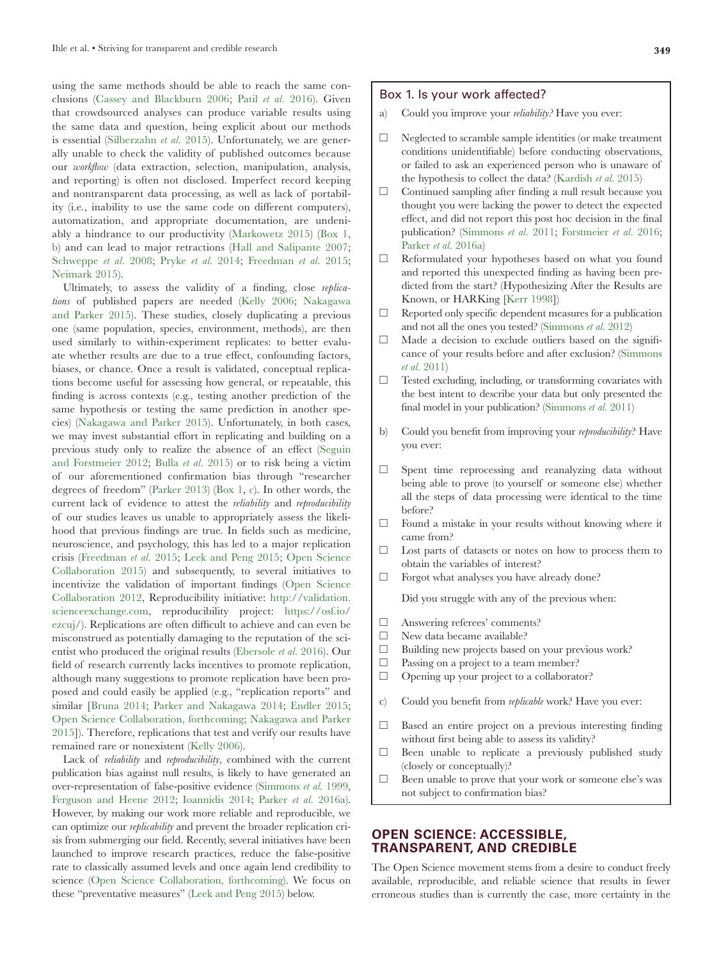using the same methods should be able to reach the same conclusions [\(Cassey and Blackburn 2006](#page-5-9); Patil *et al.* [2016](#page-6-6)). Given that crowdsourced analyses can produce variable results using the same data and question, being explicit about our methods is essential ([Silberzahn](#page-6-7) *et al.* 2015). Unfortunately, we are generally unable to check the validity of published outcomes because our *workflow* (data extraction, selection, manipulation, analysis, and reporting) is often not disclosed. Imperfect record keeping and nontransparent data processing, as well as lack of portability (i.e., inability to use the same code on different computers), automatization, and appropriate documentation, are undeniably a hindrance to our productivity [\(Markowetz 2015](#page-5-10)) [\(Box 1](#page-1-0), [b](#page-1-0)) and can lead to major retractions [\(Hall and Salipante 2007](#page-5-11); [Schweppe](#page-6-8) *et al.* 2008; [Pryke](#page-6-9) *et al.* 2014; [Freedman](#page-5-12) *et al.* 2015; [Neimark 2015](#page-6-10)).

Ultimately, to assess the validity of a finding, close *replications* of published papers are needed ([Kelly 2006](#page-5-13); [Nakagawa](#page-6-11) [and Parker 2015\)](#page-6-11). These studies, closely duplicating a previous one (same population, species, environment, methods), are then used similarly to within-experiment replicates: to better evaluate whether results are due to a true effect, confounding factors, biases, or chance. Once a result is validated, conceptual replications become useful for assessing how general, or repeatable, this finding is across contexts (e.g., testing another prediction of the same hypothesis or testing the same prediction in another species) ([Nakagawa and Parker 2015\)](#page-6-11). Unfortunately, in both cases, we may invest substantial effort in replicating and building on a previous study only to realize the absence of an effect [\(Seguin](#page-6-12) [and Forstmeier 2012;](#page-6-12) Bulla *et al.* [2015\)](#page-5-14) or to risk being a victim of our aforementioned confirmation bias through "researcher degrees of freedom" ([Parker 2013](#page-6-13)) [\(Box 1](#page-1-0), [c](#page-1-0)). In other words, the current lack of evidence to attest the *reliability* and *reproducibility* of our studies leaves us unable to appropriately assess the likelihood that previous findings are true. In fields such as medicine, neuroscience, and psychology, this has led to a major replication crisis [\(Freedman](#page-5-12) *et al.* 2015; [Leek and Peng 2015](#page-5-8); [Open Science](#page-6-1) [Collaboration 2015](#page-6-1)) and subsequently, to several initiatives to incentivize the validation of important findings ([Open Science](#page-6-14) [Collaboration 2012,](#page-6-14) Reproducibility initiative: [http://validation.](http://validation.scienceexchange.com) [scienceexchange.com](http://validation.scienceexchange.com), reproducibility project: [https://osf.io/](https://osf.io/ezcuj/) [ezcuj/](https://osf.io/ezcuj/)). Replications are often difficult to achieve and can even be misconstrued as potentially damaging to the reputation of the scientist who produced the original results ([Ebersole](#page-5-15) *et al.* 2016). Our field of research currently lacks incentives to promote replication, although many suggestions to promote replication have been proposed and could easily be applied (e.g., "replication reports" and similar [\[Bruna 2014](#page-5-16); [Parker and Nakagawa 2014](#page-6-15); [Endler 2015](#page-5-17); [Open Science Collaboration, forthcoming](#page-6-16); [Nakagawa and Parker](#page-6-11) [2015\]](#page-6-11)). Therefore, replications that test and verify our results have remained rare or nonexistent [\(Kelly 2006\)](#page-5-13).

Lack of *reliability* and *reproducibility*, combined with the current publication bias against null results, is likely to have generated an over-representation of false-positive evidence ([Simmons](#page-6-17) *et al.* 1999, [Ferguson and Heene 2012;](#page-5-18) [Ioannidis 2014;](#page-5-19) Parker *et al.* [2016a\)](#page-6-4). However, by making our work more reliable and reproducible, we can optimize our *replicability* and prevent the broader replication crisis from submerging our field. Recently, several initiatives have been launched to improve research practices, reduce the false-positive rate to classically assumed levels and once again lend credibility to science [\(Open Science Collaboration, forthcoming\)](#page-6-16). We focus on these "preventative measures" ([Leek and Peng 2015\)](#page-5-8) below.

#### <span id="page-1-0"></span>Box 1. Is your work affected?

- Could you improve your *reliability?* Have you ever:
- $\Box$  Neglected to scramble sample identities (or make treatment conditions unidentifiable) before conducting observations, or failed to ask an experienced person who is unaware of the hypothesis to collect the data? [\(Kardish](#page-5-5) *et al.* 2015)
- ☐ Continued sampling after finding a null result because you thought you were lacking the power to detect the expected effect, and did not report this post hoc decision in the final publication? [\(Simmons](#page-6-3) *et al.* 2011; [Forstmeier](#page-5-7) *et al.* 2016; [Parker](#page-5-7) *et al.* 2016a)
- ☐ Reformulated your hypotheses based on what you found and reported this unexpected finding as having been predicted from the start? (Hypothesizing After the Results are Known, or HARKing [\[Kerr 1998](#page-5-20)])
- $\Box$  Reported only specific dependent measures for a publication and not all the ones you tested? [\(Simmons](#page-6-18) *et al.* 2012)
- ☐ Made a decision to exclude outliers based on the significance of your results before and after exclusion? ([Simmons](#page-6-3) *et al.* [2011](#page-6-3))
- ☐ Tested excluding, including, or transforming covariates with the best intent to describe your data but only presented the final model in your publication? ([Simmons](#page-6-3) *et al.* 2011)
- b) Could you benefit from improving your *reproducibility*? Have you ever:
- $\Box$  Spent time reprocessing and reanalyzing data without being able to prove (to yourself or someone else) whether all the steps of data processing were identical to the time before?
- $\Box$  Found a mistake in your results without knowing where it came from?
- ☐ Lost parts of datasets or notes on how to process them to obtain the variables of interest?
- ☐ Forgot what analyses you have already done?

Did you struggle with any of the previous when:

- ☐ Answering referees' comments?
- □ New data became available?
- $\Box$  Building new projects based on your previous work?
- ☐ Passing on a project to a team member?
- ☐ Opening up your project to a collaborator?
- c) Could you benefit from *replicable* work? Have you ever:
- ☐ Based an entire project on a previous interesting finding without first being able to assess its validity?
- ☐ Been unable to replicate a previously published study (closely or conceptually)?
- ☐ Been unable to prove that your work or someone else's was not subject to confirmation bias?

## **OPEN SCIENCE: ACCESSIBLE, TRANSPARENT, AND CREDIBLE**

The Open Science movement stems from a desire to conduct freely available, reproducible, and reliable science that results in fewer erroneous studies than is currently the case, more certainty in the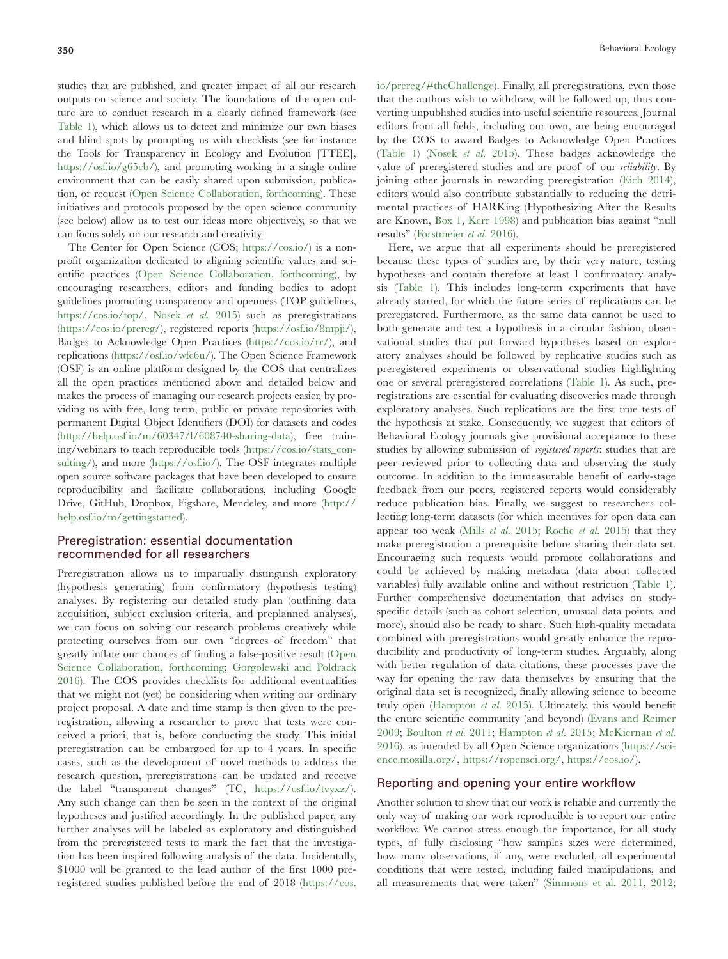studies that are published, and greater impact of all our research outputs on science and society. The foundations of the open culture are to conduct research in a clearly defined framework (see [Table 1](#page-3-0)), which allows us to detect and minimize our own biases and blind spots by prompting us with checklists (see for instance the Tools for Transparency in Ecology and Evolution [TTEE], <https://osf.io/g65cb/>), and promoting working in a single online environment that can be easily shared upon submission, publication, or request ([Open Science Collaboration, forthcoming](#page-6-16)). These initiatives and protocols proposed by the open science community (see below) allow us to test our ideas more objectively, so that we can focus solely on our research and creativity.

The Center for Open Science (COS; <https://cos.io/>) is a nonprofit organization dedicated to aligning scientific values and scientific practices ([Open Science Collaboration, forthcoming\)](#page-6-16), by encouraging researchers, editors and funding bodies to adopt guidelines promoting transparency and openness (TOP guidelines, [https://cos.io/top/,](https://cos.io/top/) [Nosek](#page-6-19) *et al.* 2015) such as preregistrations [\(https://cos.io/prereg/](https://cos.io/prereg/)), registered reports (<https://osf.io/8mpji/>), Badges to Acknowledge Open Practices [\(https://cos.io/rr/\)](https://cos.io/rr/), and replications [\(https://osf.io/wfc6u/](https://osf.io/wfc6u/)). The Open Science Framework (OSF) is an online platform designed by the COS that centralizes all the open practices mentioned above and detailed below and makes the process of managing our research projects easier, by providing us with free, long term, public or private repositories with permanent Digital Object Identifiers (DOI) for datasets and codes [\(http://help.osf.io/m/60347/l/608740-sharing-data](http://help.osf.io/m/60347/l/608740-sharing-data)), free training/webinars to teach reproducible tools ([https://cos.io/stats\\_con](https://cos.io/stats_consulting/)[sulting/](https://cos.io/stats_consulting/)), and more ([https://osf.io/\)](https://osf.io/). The OSF integrates multiple open source software packages that have been developed to ensure reproducibility and facilitate collaborations, including Google Drive, GitHub, Dropbox, Figshare, Mendeley, and more [\(http://](http://help.osf.io/m/gettingstarted) [help.osf.io/m/gettingstarted\)](http://help.osf.io/m/gettingstarted).

## Preregistration: essential documentation recommended for all researchers

Preregistration allows us to impartially distinguish exploratory (hypothesis generating) from confirmatory (hypothesis testing) analyses. By registering our detailed study plan (outlining data acquisition, subject exclusion criteria, and preplanned analyses), we can focus on solving our research problems creatively while protecting ourselves from our own "degrees of freedom" that greatly inflate our chances of finding a false-positive result ([Open](#page-6-16)  [Science Collaboration, forthcoming](#page-6-16); [Gorgolewski and Poldrack](#page-5-21)  [2016](#page-5-21)). The COS provides checklists for additional eventualities that we might not (yet) be considering when writing our ordinary project proposal. A date and time stamp is then given to the preregistration, allowing a researcher to prove that tests were conceived a priori, that is, before conducting the study. This initial preregistration can be embargoed for up to 4 years. In specific cases, such as the development of novel methods to address the research question, preregistrations can be updated and receive the label "transparent changes" (TC, <https://osf.io/tvyxz/>). Any such change can then be seen in the context of the original hypotheses and justified accordingly. In the published paper, any further analyses will be labeled as exploratory and distinguished from the preregistered tests to mark the fact that the investigation has been inspired following analysis of the data. Incidentally, \$1000 will be granted to the lead author of the first 1000 preregistered studies published before the end of 2018 ([https://cos.](https://cos.io/prereg/#theChallenge)

[io/prereg/#theChallenge](https://cos.io/prereg/#theChallenge)). Finally, all preregistrations, even those that the authors wish to withdraw, will be followed up, thus converting unpublished studies into useful scientific resources. Journal editors from all fields, including our own, are being encouraged by the COS to award Badges to Acknowledge Open Practices ([Table 1\)](#page-3-0) [\(Nosek](#page-6-19) *et al.* 2015). These badges acknowledge the value of preregistered studies and are proof of our *reliability*. By joining other journals in rewarding preregistration ([Eich 2014\)](#page-5-22), editors would also contribute substantially to reducing the detrimental practices of HARKing (Hypothesizing After the Results are Known, [Box 1,](#page-1-0) [Kerr 1998\)](#page-5-20) and publication bias against "null results" ([Forstmeier](#page-5-7) *et al.* 2016).

Here, we argue that all experiments should be preregistered because these types of studies are, by their very nature, testing hypotheses and contain therefore at least 1 confirmatory analysis ([Table 1\)](#page-3-0). This includes long-term experiments that have already started, for which the future series of replications can be preregistered. Furthermore, as the same data cannot be used to both generate and test a hypothesis in a circular fashion, observational studies that put forward hypotheses based on exploratory analyses should be followed by replicative studies such as preregistered experiments or observational studies highlighting one or several preregistered correlations ([Table 1\)](#page-3-0). As such, preregistrations are essential for evaluating discoveries made through exploratory analyses. Such replications are the first true tests of the hypothesis at stake. Consequently, we suggest that editors of Behavioral Ecology journals give provisional acceptance to these studies by allowing submission of *registered reports*: studies that are peer reviewed prior to collecting data and observing the study outcome. In addition to the immeasurable benefit of early-stage feedback from our peers, registered reports would considerably reduce publication bias. Finally, we suggest to researchers collecting long-term datasets (for which incentives for open data can appear too weak (Mills *et al.* [2015;](#page-5-23) [Roche](#page-6-20) *et al.* 2015) that they make preregistration a prerequisite before sharing their data set. Encouraging such requests would promote collaborations and could be achieved by making metadata (data about collected variables) fully available online and without restriction [\(Table 1\)](#page-3-0). Further comprehensive documentation that advises on studyspecific details (such as cohort selection, unusual data points, and more), should also be ready to share. Such high-quality metadata combined with preregistrations would greatly enhance the reproducibility and productivity of long-term studies. Arguably, along with better regulation of data citations, these processes pave the way for opening the raw data themselves by ensuring that the original data set is recognized, finally allowing science to become truly open ([Hampton](#page-5-24) *et al.* 2015). Ultimately, this would benefit the entire scientific community (and beyond) ([Evans and Reimer](#page-5-25) [2009](#page-5-25); [Boulton](#page-5-26) *et al.* 2011; [Hampton](#page-5-24) *et al.* 2015; [McKiernan](#page-5-27) *et al.* [2016](#page-5-27)), as intended by all Open Science organizations [\(https://sci](https://science.mozilla.org/)[ence.mozilla.org/,](https://science.mozilla.org/) [https://ropensci.org/,](https://ropensci.org/) <https://cos.io/>).

#### Reporting and opening your entire workflow

Another solution to show that our work is reliable and currently the only way of making our work reproducible is to report our entire workflow. We cannot stress enough the importance, for all study types, of fully disclosing "how samples sizes were determined, how many observations, if any, were excluded, all experimental conditions that were tested, including failed manipulations, and all measurements that were taken" ([Simmons et al. 2011,](#page-6-3) [2012](#page-6-18);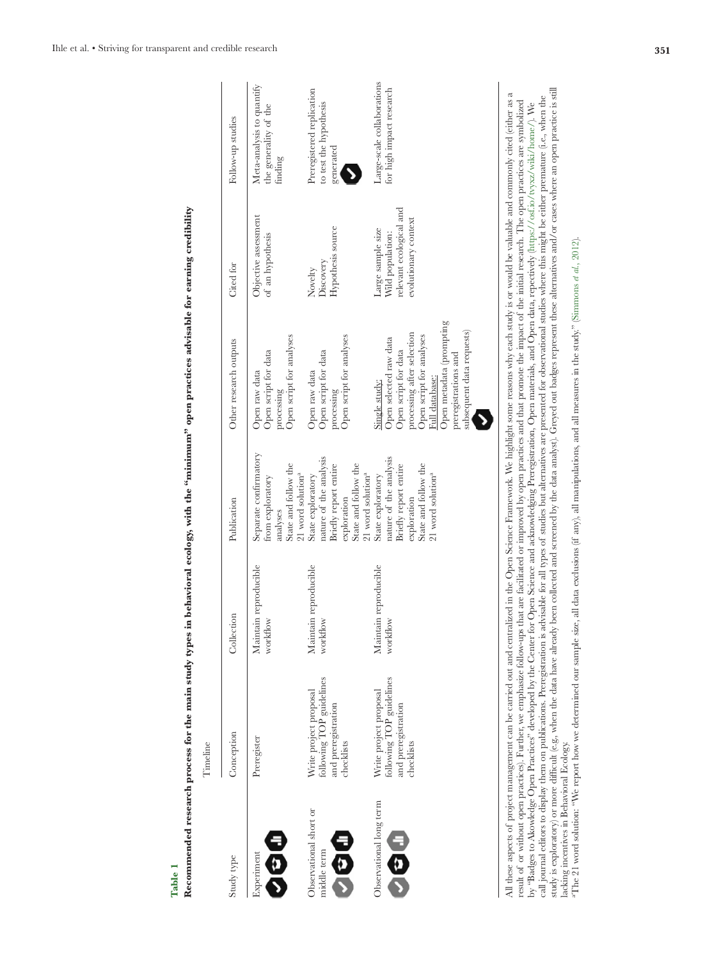|                                              | Timeline                                                                                | $\mathbf{r}$ , $\mathbf{r}$       | :<br>הלפי                                                                                                                                                                     | <br> <br> <br>                                                                                                                                                                                                               |                                                                                          |                                                                  |
|----------------------------------------------|-----------------------------------------------------------------------------------------|-----------------------------------|-------------------------------------------------------------------------------------------------------------------------------------------------------------------------------|------------------------------------------------------------------------------------------------------------------------------------------------------------------------------------------------------------------------------|------------------------------------------------------------------------------------------|------------------------------------------------------------------|
| Study type                                   | Conception                                                                              | Collection                        | Publication                                                                                                                                                                   | Other research outputs                                                                                                                                                                                                       | Cited for                                                                                | Follow-up studies                                                |
| E<br>O O<br>Experiment                       | Preregister                                                                             | Maintain reproducible<br>workflow | Separate confirmatory<br>State and follow the<br>$21$ word solution <sup>a</sup><br>from exploratory<br>analyses                                                              | Open script for analyses<br>Open script for data<br>Open raw data<br>processing                                                                                                                                              | Objective assessment<br>of an hypothesis                                                 | Meta-analysis to quantify<br>the generality of the<br>finding    |
| Observational short or<br>日のこ<br>middle term | following TOP guidelines<br>Write project proposal<br>and preregistration<br>checklists | Maintain reproducible<br>workflow | nature of the analysis<br>State and follow the<br>Briefly report entire<br>State exploratory<br>exploration                                                                   | Open script for analyses<br>Open script for data<br>Open raw data<br>processing                                                                                                                                              | Hypothesis source<br>Discovery<br>Novelty                                                | Preregistered replication<br>to test the hypothesis<br>generated |
| Observational long term<br>$\frac{1}{2}$     | following TOP guidelines<br>Write project proposal<br>and preregistration<br>checklists | Maintain reproducible<br>workflow | nature of the analysis<br>Briefly report entire<br>State and follow the<br>21 word solution <sup>a</sup><br>21 word solution <sup>a</sup><br>State exploratory<br>exploration | Open metadata (prompting<br>subsequent data requests)<br>processing after selection<br>Open script for analyses<br>Open selected raw data<br>Open script for data<br>preregistrations and<br>Full database:<br>Single study: | relevant ecological and<br>evolutionary context<br>Large sample size<br>Wild population: | Large-scale collaborations<br>for high impact research           |
|                                              |                                                                                         |                                   |                                                                                                                                                                               | All these amort of moint on the caming out on and controlled in the Open Science Framework We highlight some waves what such the conventible and commonly citying leither as a                                               |                                                                                          |                                                                  |

<span id="page-3-0"></span>Recommended research process for the main study types in behavioral ecology, with the "minimum" open practices advisable for earning credibility **Recommended research process for the main study types in behavioral ecology, with the "minimum" open practices advisable for earning credibility Table 1**

call journal editors to display them on publications. Preregistration is advisable for all types of studies bu' alternatives are presented for observational studies where this inight be either premature (i.e., when the<br>stu study is exploratory) or more difficult (e.g., when the data have already been collected and screened by the data analyst). Greyed out badges represent these alternatives and/or cases where an open practice is still All these aspects of project management can be carried out and centralized in the Open Science Framework. We highlight some reasons why each study is or would be valuable and commonly cited (either as a call journal editors to display them on publications. Preregistration is advisable for all types of studies are presented for observational studies where this might be either premature (i.e., when the Au mese aspects or project management can be carried out and centranzed in to Den Science transwork. We inginignt some reasons wity each study is or would be valuable and commonity cited (euter as result of or without open result of or without open practices). Further, we emphasize follow-ups that are facilitated or improved by open practices and that promote the impact of the initial research. The open practices are symbolized by "Badges to Akowledge Open Practices" developed by the Center for Open Science and acknowledging Preregistration, Open materials, and Open data, repectively (https://osf.io/tvysz/wiki/home/). We by "Badges to Akowledge Open Practices" developed by the Center for Open Science and acknowledging Preregistration, Open materials, and Open data, repectively ([https://osf.io/tvyxz/wiki/home/\)](https://osf.io/tvyxz/wiki/home/). We lacking incentives in Behavioral Ecology.

aThe 21 word solution: "We report how we determined our sample size, all data exclusions (if any), all manipulations, and all measures in the study." [\(Simmons](#page-6-18) *et al.*, 2012).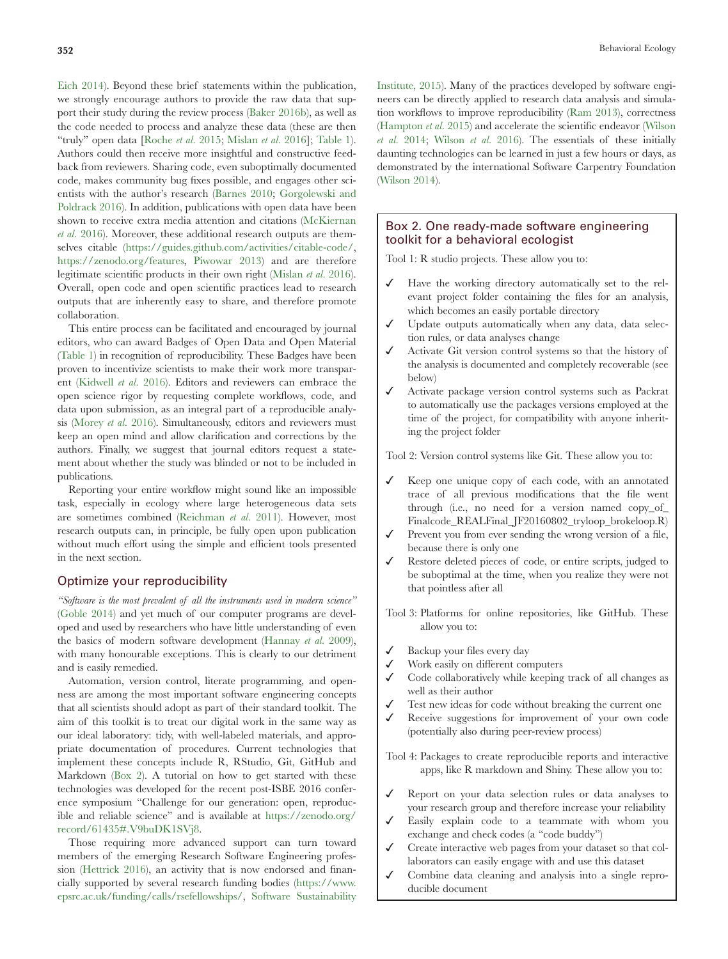[Eich 2014\)](#page-5-22). Beyond these brief statements within the publication, we strongly encourage authors to provide the raw data that support their study during the review process [\(Baker 2016b\)](#page-5-28), as well as the code needed to process and analyze these data (these are then "truly" open data [[Roche](#page-6-20) *et al.* 2015; [Mislan](#page-5-29) *et al.* 2016]; [Table 1](#page-3-0)). Authors could then receive more insightful and constructive feedback from reviewers. Sharing code, even suboptimally documented code, makes community bug fixes possible, and engages other scientists with the author's research ([Barnes 2010](#page-5-30); [Gorgolewski and](#page-5-21)  [Poldrack 2016](#page-5-21)). In addition, publications with open data have been shown to receive extra media attention and citations ([McKiernan](#page-5-27)  *et al.* [2016\)](#page-5-27). Moreover, these additional research outputs are themselves citable (<https://guides.github.com/activities/citable-code/>, <https://zenodo.org/features>, [Piwowar 2013](#page-6-21)) and are therefore legitimate scientific products in their own right [\(Mislan](#page-5-29) *et al.* 2016). Overall, open code and open scientific practices lead to research outputs that are inherently easy to share, and therefore promote collaboration.

This entire process can be facilitated and encouraged by journal editors, who can award Badges of Open Data and Open Material [\(Table 1\)](#page-3-0) in recognition of reproducibility. These Badges have been proven to incentivize scientists to make their work more transparent [\(Kidwell](#page-5-31) *et al.* 2016). Editors and reviewers can embrace the open science rigor by requesting complete workflows, code, and data upon submission, as an integral part of a reproducible analysis ([Morey](#page-6-22) *et al.* 2016). Simultaneously, editors and reviewers must keep an open mind and allow clarification and corrections by the authors. Finally, we suggest that journal editors request a statement about whether the study was blinded or not to be included in publications.

Reporting your entire workflow might sound like an impossible task, especially in ecology where large heterogeneous data sets are sometimes combined [\(Reichman](#page-6-23) *et al.* 2011). However, most research outputs can, in principle, be fully open upon publication without much effort using the simple and efficient tools presented in the next section.

#### Optimize your reproducibility

*"Software is the most prevalent of all the instruments used in modern science"* [\(Goble 2014](#page-5-32)) and yet much of our computer programs are developed and used by researchers who have little understanding of even the basics of modern software development ([Hannay](#page-5-33) *et al.* 2009), with many honourable exceptions. This is clearly to our detriment and is easily remedied.

Automation, version control, literate programming, and openness are among the most important software engineering concepts that all scientists should adopt as part of their standard toolkit. The aim of this toolkit is to treat our digital work in the same way as our ideal laboratory: tidy, with well-labeled materials, and appropriate documentation of procedures. Current technologies that implement these concepts include R, RStudio, Git, GitHub and Markdown ([Box 2\)](#page-4-0). A tutorial on how to get started with these technologies was developed for the recent post-ISBE 2016 conference symposium "Challenge for our generation: open, reproducible and reliable science" and is available at [https://zenodo.org/](https://zenodo.org/record/61435#.V9buDK1SVj8) [record/61435#.V9buDK1SVj8.](https://zenodo.org/record/61435#.V9buDK1SVj8)

Those requiring more advanced support can turn toward members of the emerging Research Software Engineering profession [\(Hettrick 2016\)](#page-5-34), an activity that is now endorsed and financially supported by several research funding bodies ([https://www.](https://www.epsrc.ac.uk/funding/calls/rsefellowships/) [epsrc.ac.uk/funding/calls/rsefellowships/](https://www.epsrc.ac.uk/funding/calls/rsefellowships/), [Software Sustainability](#page-6-24)  [Institute, 2015](#page-6-24)). Many of the practices developed by software engineers can be directly applied to research data analysis and simulation workflows to improve reproducibility ([Ram 2013\)](#page-6-25), correctness ([Hampton](#page-5-24) *et al.* 2015) and accelerate the scientific endeavor ([Wilson](#page-6-26) *et al.* [2014;](#page-6-26) [Wilson](#page-6-27) *et al.* 2016). The essentials of these initially daunting technologies can be learned in just a few hours or days, as demonstrated by the international Software Carpentry Foundation ([Wilson 2014](#page-6-28)).

## <span id="page-4-0"></span>Box 2. One ready-made software engineering toolkit for a behavioral ecologist

Tool 1: R studio projects. These allow you to:

- Have the working directory automatically set to the relevant project folder containing the files for an analysis, which becomes an easily portable directory
- Update outputs automatically when any data, data selection rules, or data analyses change
- Activate Git version control systems so that the history of the analysis is documented and completely recoverable (see below)
- Activate package version control systems such as Packrat to automatically use the packages versions employed at the time of the project, for compatibility with anyone inheriting the project folder

Tool 2: Version control systems like Git. These allow you to:

- Keep one unique copy of each code, with an annotated trace of all previous modifications that the file went through (i.e., no need for a version named copy\_of\_ Finalcode\_REALFinal\_JF20160802\_tryloop\_brokeloop.R)
- Prevent you from ever sending the wrong version of a file, because there is only one
- Restore deleted pieces of code, or entire scripts, judged to be suboptimal at the time, when you realize they were not that pointless after all
- Tool 3: Platforms for online repositories, like GitHub. These allow you to:
- ✓ Backup your files every day
- Work easily on different computers
- Code collaboratively while keeping track of all changes as well as their author
- Test new ideas for code without breaking the current one
- Receive suggestions for improvement of your own code (potentially also during peer-review process)
- Tool 4: Packages to create reproducible reports and interactive apps, like R markdown and Shiny. These allow you to:
- ✓ Report on your data selection rules or data analyses to your research group and therefore increase your reliability
- Easily explain code to a teammate with whom you exchange and check codes (a "code buddy")
- Create interactive web pages from your dataset so that collaborators can easily engage with and use this dataset
- Combine data cleaning and analysis into a single reproducible document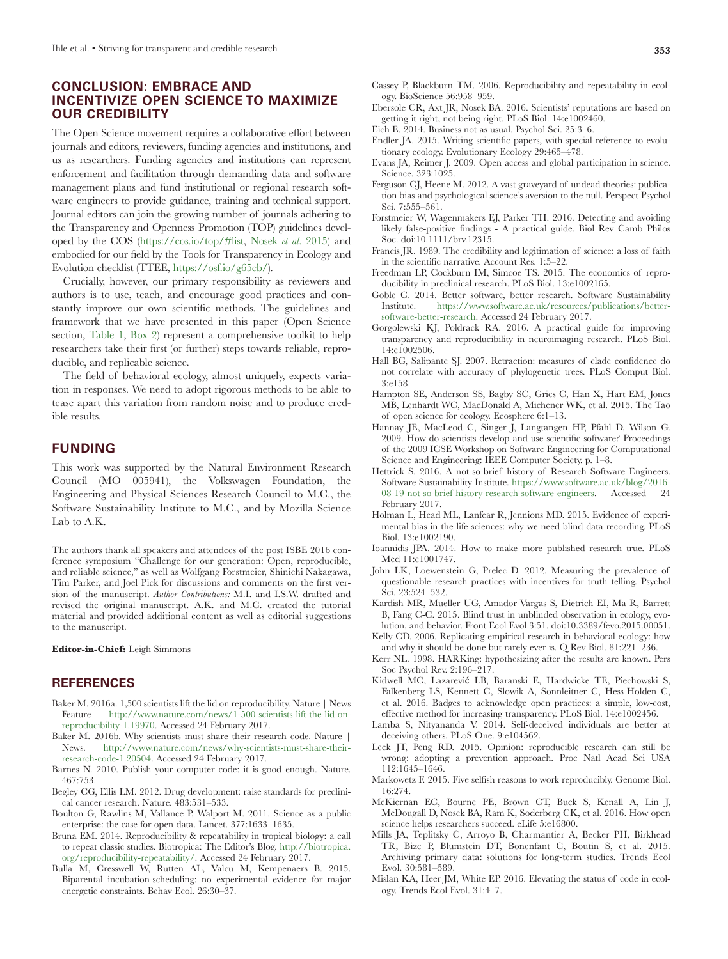## **CONCLUSION: EMBRACE AND INCENTIVIZE OPEN SCIENCE TO MAXIMIZE OUR CREDIBILITY**

The Open Science movement requires a collaborative effort between journals and editors, reviewers, funding agencies and institutions, and us as researchers. Funding agencies and institutions can represent enforcement and facilitation through demanding data and software management plans and fund institutional or regional research software engineers to provide guidance, training and technical support. Journal editors can join the growing number of journals adhering to the Transparency and Openness Promotion (TOP) guidelines developed by the COS [\(https://cos.io/top/#list,](https://cos.io/top/#list) [Nosek](#page-6-19) *et al.* 2015) and embodied for our field by the Tools for Transparency in Ecology and Evolution checklist (TTEE, [https://osf.io/g65cb/\)](https://osf.io/g65cb/).

Crucially, however, our primary responsibility as reviewers and authors is to use, teach, and encourage good practices and constantly improve our own scientific methods. The guidelines and framework that we have presented in this paper (Open Science section, [Table 1,](#page-3-0) [Box 2](#page-4-0)) represent a comprehensive toolkit to help researchers take their first (or further) steps towards reliable, reproducible, and replicable science.

The field of behavioral ecology, almost uniquely, expects variation in responses. We need to adopt rigorous methods to be able to tease apart this variation from random noise and to produce credible results.

## **FUNDING**

This work was supported by the Natural Environment Research Council (MO 005941), the Volkswagen Foundation, the Engineering and Physical Sciences Research Council to M.C., the Software Sustainability Institute to M.C., and by Mozilla Science Lab to A.K.

The authors thank all speakers and attendees of the post ISBE 2016 conference symposium "Challenge for our generation: Open, reproducible, and reliable science," as well as Wolfgang Forstmeier, Shinichi Nakagawa, Tim Parker, and Joel Pick for discussions and comments on the first version of the manuscript. *Author Contributions:* M.I. and I.S.W. drafted and revised the original manuscript. A.K. and M.C. created the tutorial material and provided additional content as well as editorial suggestions to the manuscript.

#### **Editor-in-Chief:** Leigh Simmons

## **REFERENCES**

- <span id="page-5-1"></span>Baker M. 2016a. 1,500 scientists lift the lid on reproducibility. Nature | News Feature [http://www.nature.com/news/1-500-scientists-lift-the-lid-on](http://www.nature.com/news/1-500-scientists-lift-the-lid-on-reproducibility-1.19970)[reproducibility-1.19970](http://www.nature.com/news/1-500-scientists-lift-the-lid-on-reproducibility-1.19970). Accessed 24 February 2017.
- <span id="page-5-28"></span>Baker M. 2016b. Why scientists must share their research code. Nature | News. [http://www.nature.com/news/why-scientists-must-share-their](http://www.nature.com/news/why-scientists-must-share-their-research-code-1.20504)[research-code-1.20504](http://www.nature.com/news/why-scientists-must-share-their-research-code-1.20504). Accessed 24 February 2017.
- <span id="page-5-30"></span>Barnes N. 2010. Publish your computer code: it is good enough. Nature. 467:753.
- <span id="page-5-2"></span>Begley CG, Ellis LM. 2012. Drug development: raise standards for preclinical cancer research. Nature. 483:531–533.
- <span id="page-5-26"></span>Boulton G, Rawlins M, Vallance P, Walport M. 2011. Science as a public enterprise: the case for open data. Lancet. 377:1633–1635.
- <span id="page-5-16"></span>Bruna EM. 2014. Reproducibility & repeatability in tropical biology: a call to repeat classic studies. Biotropica: The Editor's Blog. [http://biotropica.](http://biotropica.org/reproducibility-repeatability/) [org/reproducibility-repeatability/](http://biotropica.org/reproducibility-repeatability/). Accessed 24 February 2017.
- <span id="page-5-14"></span>Bulla M, Cresswell W, Rutten AL, Valcu M, Kempenaers B. 2015. Biparental incubation-scheduling: no experimental evidence for major energetic constraints. Behav Ecol. 26:30–37.
- <span id="page-5-9"></span>Cassey P, Blackburn TM. 2006. Reproducibility and repeatability in ecology. BioScience 56:958–959.
- <span id="page-5-15"></span>Ebersole CR, Axt JR, Nosek BA. 2016. Scientists' reputations are based on getting it right, not being right. PLoS Biol. 14:e1002460.
- <span id="page-5-22"></span>Eich E. 2014. Business not as usual. Psychol Sci. 25:3–6.
- <span id="page-5-17"></span>Endler JA. 2015. Writing scientific papers, with special reference to evolutionary ecology. Evolutionary Ecology 29:465–478.
- <span id="page-5-25"></span>Evans JA, Reimer J. 2009. Open access and global participation in science. Science. 323:1025.
- <span id="page-5-18"></span>Ferguson CJ, Heene M. 2012. A vast graveyard of undead theories: publication bias and psychological science's aversion to the null. Perspect Psychol Sci. 7:555–561.
- <span id="page-5-7"></span>Forstmeier W, Wagenmakers EJ, Parker TH. 2016. Detecting and avoiding likely false-positive findings - A practical guide. Biol Rev Camb Philos Soc. doi:10.1111/brv.12315.
- <span id="page-5-0"></span>Francis JR. 1989. The credibility and legitimation of science: a loss of faith in the scientific narrative. Account Res. 1:5–22.
- <span id="page-5-12"></span>Freedman LP, Cockburn IM, Simcoe TS. 2015. The economics of reproducibility in preclinical research. PLoS Biol. 13:e1002165.
- <span id="page-5-32"></span>Goble C. 2014. Better software, better research. Software Sustainability Institute. [https://www.software.ac.uk/resources/publications/better](https://www.software.ac.uk/resources/publications/better-software-better-research)[software-better-research](https://www.software.ac.uk/resources/publications/better-software-better-research). Accessed 24 February 2017.
- <span id="page-5-21"></span>Gorgolewski KJ, Poldrack RA. 2016. A practical guide for improving transparency and reproducibility in neuroimaging research. PLoS Biol. 14:e1002506.
- <span id="page-5-11"></span>Hall BG, Salipante SJ. 2007. Retraction: measures of clade confidence do not correlate with accuracy of phylogenetic trees. PLoS Comput Biol. 3:e158.
- <span id="page-5-24"></span>Hampton SE, Anderson SS, Bagby SC, Gries C, Han X, Hart EM, Jones MB, Lenhardt WC, MacDonald A, Michener WK, et al. 2015. The Tao of open science for ecology. Ecosphere 6:1–13.
- <span id="page-5-33"></span>Hannay JE, MacLeod C, Singer J, Langtangen HP, Pfahl D, Wilson G. 2009. How do scientists develop and use scientific software? Proceedings of the 2009 ICSE Workshop on Software Engineering for Computational Science and Engineering: IEEE Computer Society. p. 1–8.
- <span id="page-5-34"></span>Hettrick S. 2016. A not-so-brief history of Research Software Engineers. Software Sustainability Institute. [https://www.software.ac.uk/blog/2016-](https://www.software.ac.uk/blog/2016-08-19-not-so-brief-history-research-software-engineers) [08-19-not-so-brief-history-research-software-engineers.](https://www.software.ac.uk/blog/2016-08-19-not-so-brief-history-research-software-engineers) Accessed 24 February 2017.
- <span id="page-5-4"></span>Holman L, Head ML, Lanfear R, Jennions MD. 2015. Evidence of experimental bias in the life sciences: why we need blind data recording. PLoS Biol. 13:e1002190.
- <span id="page-5-19"></span>Ioannidis JPA. 2014. How to make more published research true. PLoS Med 11:e1001747.
- <span id="page-5-6"></span>John LK, Loewenstein G, Prelec D. 2012. Measuring the prevalence of questionable research practices with incentives for truth telling. Psychol Sci. 23:524–532.
- <span id="page-5-5"></span>Kardish MR, Mueller UG, Amador-Vargas S, Dietrich EI, Ma R, Barrett B, Fang C-C. 2015. Blind trust in unblinded observation in ecology, evolution, and behavior. Front Ecol Evol 3:51. doi:10.3389/fevo.2015.00051.
- <span id="page-5-13"></span>Kelly CD. 2006. Replicating empirical research in behavioral ecology: how and why it should be done but rarely ever is. Q Rev Biol. 81:221–236.
- <span id="page-5-20"></span>Kerr NL. 1998. HARKing: hypothesizing after the results are known. Pers Soc Psychol Rev. 2:196–217.
- <span id="page-5-31"></span>Kidwell MC, Lazarević LB, Baranski E, Hardwicke TE, Piechowski S, Falkenberg LS, Kennett C, Slowik A, Sonnleitner C, Hess-Holden C, et al. 2016. Badges to acknowledge open practices: a simple, low-cost, effective method for increasing transparency. PLoS Biol. 14:e1002456.
- <span id="page-5-3"></span>Lamba S, Nityananda V. 2014. Self-deceived individuals are better at deceiving others. PLoS One. 9:e104562.
- <span id="page-5-8"></span>Leek JT, Peng RD. 2015. Opinion: reproducible research can still be wrong: adopting a prevention approach. Proc Natl Acad Sci USA 112:1645–1646.
- <span id="page-5-10"></span>Markowetz F. 2015. Five selfish reasons to work reproducibly. Genome Biol. 16:274.
- <span id="page-5-27"></span>McKiernan EC, Bourne PE, Brown CT, Buck S, Kenall A, Lin J, McDougall D, Nosek BA, Ram K, Soderberg CK, et al. 2016. How open science helps researchers succeed. eLife 5:e16800.
- <span id="page-5-23"></span>Mills JA, Teplitsky C, Arroyo B, Charmantier A, Becker PH, Birkhead TR, Bize P, Blumstein DT, Bonenfant C, Boutin S, et al. 2015. Archiving primary data: solutions for long-term studies. Trends Ecol Evol. 30:581–589.
- <span id="page-5-29"></span>Mislan KA, Heer JM, White EP. 2016. Elevating the status of code in ecology. Trends Ecol Evol. 31:4–7.